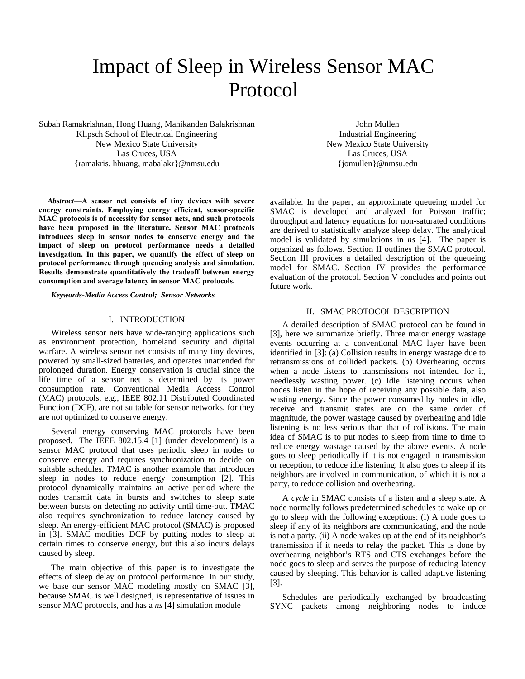# Impact of Sleep in Wireless Sensor MAC Protocol

Subah Ramakrishnan, Hong Huang, Manikanden Balakrishnan Klipsch School of Electrical Engineering New Mexico State University Las Cruces, USA {ramakris, hhuang, mabalakr}@nmsu.edu

*Abstract***—A sensor net consists of tiny devices with severe energy constraints. Employing energy efficient, sensor-specific MAC protocols is of necessity for sensor nets, and such protocols have been proposed in the literature. Sensor MAC protocols introduces sleep in sensor nodes to conserve energy and the impact of sleep on protocol performance needs a detailed investigation. In this paper, we quantify the effect of sleep on protocol performance through queueing analysis and simulation. Results demonstrate quantitatively the tradeoff between energy consumption and average latency in sensor MAC protocols.** 

*Keywords-Media Access Control; Sensor Networks* 

# I. INTRODUCTION

Wireless sensor nets have wide-ranging applications such as environment protection, homeland security and digital warfare. A wireless sensor net consists of many tiny devices, powered by small-sized batteries, and operates unattended for prolonged duration. Energy conservation is crucial since the life time of a sensor net is determined by its power consumption rate. Conventional Media Access Control (MAC) protocols, e.g., IEEE 802.11 Distributed Coordinated Function (DCF), are not suitable for sensor networks, for they are not optimized to conserve energy.

Several energy conserving MAC protocols have been proposed. The IEEE 802.15.4 [1] (under development) is a sensor MAC protocol that uses periodic sleep in nodes to conserve energy and requires synchronization to decide on suitable schedules. TMAC is another example that introduces sleep in nodes to reduce energy consumption [2]. This protocol dynamically maintains an active period where the nodes transmit data in bursts and switches to sleep state between bursts on detecting no activity until time-out. TMAC also requires synchronization to reduce latency caused by sleep. An energy-efficient MAC protocol (SMAC) is proposed in [3]. SMAC modifies DCF by putting nodes to sleep at certain times to conserve energy, but this also incurs delays caused by sleep.

The main objective of this paper is to investigate the effects of sleep delay on protocol performance. In our study, we base our sensor MAC modeling mostly on SMAC [3], because SMAC is well designed, is representative of issues in sensor MAC protocols, and has a *ns* [4] simulation module

John Mullen Industrial Engineering New Mexico State University Las Cruces, USA {jomullen}@nmsu.edu

available. In the paper, an approximate queueing model for SMAC is developed and analyzed for Poisson traffic; throughput and latency equations for non-saturated conditions are derived to statistically analyze sleep delay. The analytical model is validated by simulations in *ns* [4]. The paper is organized as follows. Section II outlines the SMAC protocol. Section III provides a detailed description of the queueing model for SMAC. Section IV provides the performance evaluation of the protocol. Section V concludes and points out future work.

## II. SMAC PROTOCOL DESCRIPTION

A detailed description of SMAC protocol can be found in [3], here we summarize briefly. Three major energy wastage events occurring at a conventional MAC layer have been identified in [3]: (a) Collision results in energy wastage due to retransmissions of collided packets. (b) Overhearing occurs when a node listens to transmissions not intended for it, needlessly wasting power. (c) Idle listening occurs when nodes listen in the hope of receiving any possible data, also wasting energy. Since the power consumed by nodes in idle, receive and transmit states are on the same order of magnitude, the power wastage caused by overhearing and idle listening is no less serious than that of collisions. The main idea of SMAC is to put nodes to sleep from time to time to reduce energy wastage caused by the above events. A node goes to sleep periodically if it is not engaged in transmission or reception, to reduce idle listening. It also goes to sleep if its neighbors are involved in communication, of which it is not a party, to reduce collision and overhearing.

A *cycle* in SMAC consists of a listen and a sleep state. A node normally follows predetermined schedules to wake up or go to sleep with the following exceptions: (i) A node goes to sleep if any of its neighbors are communicating, and the node is not a party. (ii) A node wakes up at the end of its neighbor's transmission if it needs to relay the packet. This is done by overhearing neighbor's RTS and CTS exchanges before the node goes to sleep and serves the purpose of reducing latency caused by sleeping. This behavior is called adaptive listening [3].

Schedules are periodically exchanged by broadcasting SYNC packets among neighboring nodes to induce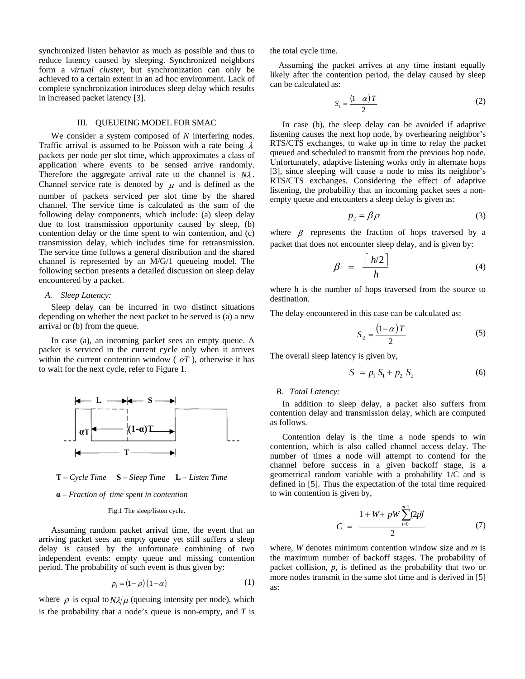synchronized listen behavior as much as possible and thus to reduce latency caused by sleeping. Synchronized neighbors form a *virtual cluster*, but synchronization can only be achieved to a certain extent in an ad hoc environment. Lack of complete synchronization introduces sleep delay which results in increased packet latency [3].

# III. QUEUEING MODEL FOR SMAC

We consider a system composed of *N* interfering nodes. Traffic arrival is assumed to be Poisson with a rate being  $\lambda$ packets per node per slot time, which approximates a class of application where events to be sensed arrive randomly. Therefore the aggregate arrival rate to the channel is *N*<sup>λ</sup> . Channel service rate is denoted by  $\mu$  and is defined as the number of packets serviced per slot time by the shared channel. The service time is calculated as the sum of the following delay components, which include: (a) sleep delay due to lost transmission opportunity caused by sleep, (b) contention delay or the time spent to win contention, and (c) transmission delay, which includes time for retransmission. The service time follows a general distribution and the shared channel is represented by an M/G/1 queueing model. The following section presents a detailed discussion on sleep delay encountered by a packet.

# *A. Sleep Latency:*

Sleep delay can be incurred in two distinct situations depending on whether the next packet to be served is (a) a new arrival or (b) from the queue.

In case (a), an incoming packet sees an empty queue. A packet is serviced in the current cycle only when it arrives within the current contention window  $\alpha T$ ), otherwise it has to wait for the next cycle, refer to Figure 1.





#### **α** *– Fraction of time spent in contention*

#### Fig.1 The sleep/listen cycle.

Assuming random packet arrival time, the event that an arriving packet sees an empty queue yet still suffers a sleep delay is caused by the unfortunate combining of two independent events: empty queue and missing contention period. The probability of such event is thus given by:

$$
p_1 = (1 - \rho)(1 - \alpha) \tag{1}
$$

where  $\rho$  is equal to  $N\lambda/\mu$  (queuing intensity per node), which is the probability that a node's queue is non-empty, and *T* is the total cycle time.

 Assuming the packet arrives at any time instant equally likely after the contention period, the delay caused by sleep can be calculated as:

$$
S_1 = \frac{(1-\alpha)T}{2} \tag{2}
$$

In case (b), the sleep delay can be avoided if adaptive listening causes the next hop node, by overhearing neighbor's RTS/CTS exchanges, to wake up in time to relay the packet queued and scheduled to transmit from the previous hop node. Unfortunately, adaptive listening works only in alternate hops [3], since sleeping will cause a node to miss its neighbor's RTS/CTS exchanges. Considering the effect of adaptive listening, the probability that an incoming packet sees a nonempty queue and encounters a sleep delay is given as:

$$
p_2 = \beta \rho \tag{3}
$$

where  $\beta$  represents the fraction of hops traversed by a packet that does not encounter sleep delay, and is given by:

$$
\beta = \frac{\lceil h/2 \rceil}{h} \tag{4}
$$

where h is the number of hops traversed from the source to destination.

The delay encountered in this case can be calculated as:

$$
S_2 = \frac{(1-\alpha)T}{2} \tag{5}
$$

The overall sleep latency is given by,

$$
S = p_1 S_1 + p_2 S_2 \tag{6}
$$

# *B. Total Latency:*

In addition to sleep delay, a packet also suffers from contention delay and transmission delay, which are computed as follows.

Contention delay is the time a node spends to win contention, which is also called channel access delay. The number of times a node will attempt to contend for the channel before success in a given backoff stage, is a geometrical random variable with a probability 1/C and is defined in [5]. Thus the expectation of the total time required to win contention is given by,

$$
C = \frac{1 + W + pW \sum_{i=0}^{m-1} (2p)^i}{2} \tag{7}
$$

where, *W* denotes minimum contention window size and *m* is the maximum number of backoff stages. The probability of packet collision, *p*, is defined as the probability that two or more nodes transmit in the same slot time and is derived in [5] as: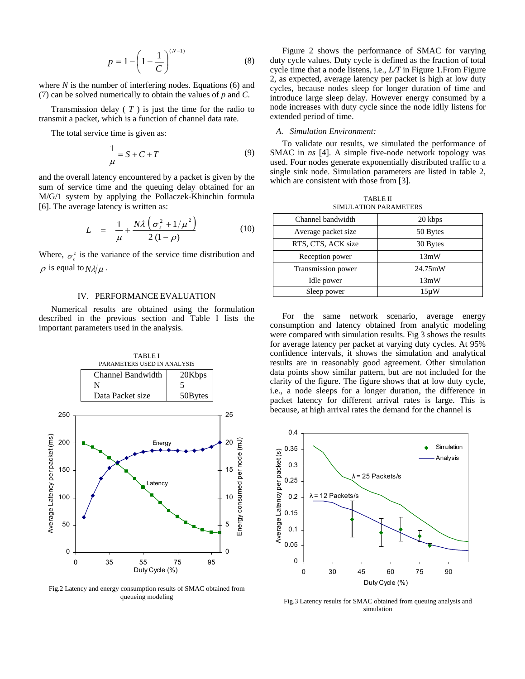$$
p = 1 - \left(1 - \frac{1}{C}\right)^{(N-1)}
$$
 (8)

where *N* is the number of interfering nodes. Equations (6) and (7) can be solved numerically to obtain the values of *p* and *C*.

Transmission delay  $(T)$  is just the time for the radio to transmit a packet, which is a function of channel data rate.

The total service time is given as:

$$
\frac{1}{\mu} = S + C + T \tag{9}
$$

and the overall latency encountered by a packet is given by the sum of service time and the queuing delay obtained for an M/G/1 system by applying the Pollaczek-Khinchin formula [6]. The average latency is written as:

$$
L = \frac{1}{\mu} + \frac{N\lambda \left(\sigma_s^2 + 1/\mu^2\right)}{2(1-\rho)}
$$
(10)

Where,  $\sigma^2$  is the variance of the service time distribution and  $\rho$  is equal to  $N\lambda/\mu$ .

#### IV. PERFORMANCE EVALUATION

Numerical results are obtained using the formulation described in the previous section and Table I lists the important parameters used in the analysis.



Fig.2 Latency and energy consumption results of SMAC obtained from queueing modeling

Figure 2 shows the performance of SMAC for varying duty cycle values. Duty cycle is defined as the fraction of total cycle time that a node listens, i.e., *L/T* in Figure 1.From Figure 2, as expected, average latency per packet is high at low duty cycles, because nodes sleep for longer duration of time and introduce large sleep delay. However energy consumed by a node increases with duty cycle since the node idlly listens for extended period of time.

#### *A. Simulation Environment:*

To validate our results, we simulated the performance of SMAC in *ns* [4]. A simple five-node network topology was used. Four nodes generate exponentially distributed traffic to a single sink node. Simulation parameters are listed in table 2, which are consistent with those from [3].

TABLE II SIMULATION PARAMETERS

| Channel bandwidth   | 20 kbps    |
|---------------------|------------|
| Average packet size | 50 Bytes   |
| RTS, CTS, ACK size  | 30 Bytes   |
| Reception power     | 13mW       |
| Transmission power  | 24.75mW    |
| Idle power          | 13mW       |
| Sleep power         | $15 \mu W$ |

For the same network scenario, average energy consumption and latency obtained from analytic modeling were compared with simulation results. Fig 3 shows the results for average latency per packet at varying duty cycles. At 95% confidence intervals, it shows the simulation and analytical results are in reasonably good agreement. Other simulation data points show similar pattern, but are not included for the clarity of the figure. The figure shows that at low duty cycle, i.e., a node sleeps for a longer duration, the difference in packet latency for different arrival rates is large. This is because, at high arrival rates the demand for the channel is



Fig.3 Latency results for SMAC obtained from queuing analysis and simulation